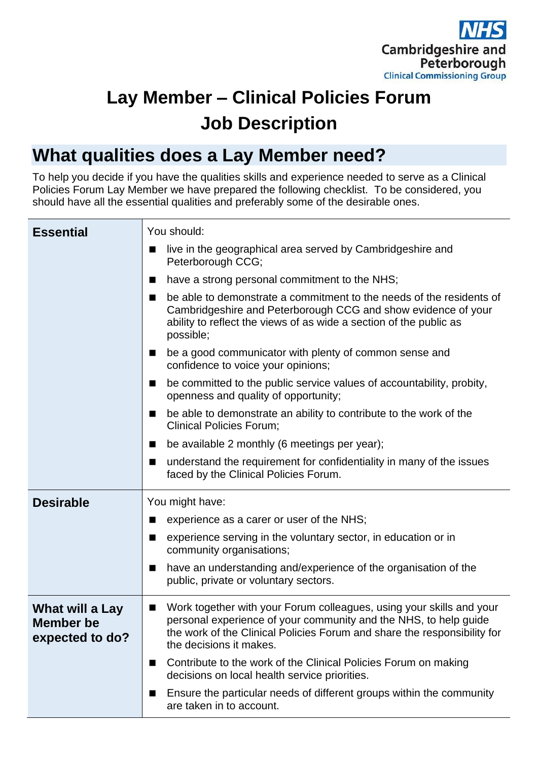

# **Lay Member – Clinical Policies Forum Job Description**

# **What qualities does a Lay Member need?**

To help you decide if you have the qualities skills and experience needed to serve as a Clinical Policies Forum Lay Member we have prepared the following checklist. To be considered, you should have all the essential qualities and preferably some of the desirable ones.

| <b>Essential</b>                                       | You should:                                                                                                                                                                                                                                     |
|--------------------------------------------------------|-------------------------------------------------------------------------------------------------------------------------------------------------------------------------------------------------------------------------------------------------|
|                                                        | live in the geographical area served by Cambridgeshire and<br>■<br>Peterborough CCG;                                                                                                                                                            |
|                                                        | have a strong personal commitment to the NHS;<br>■                                                                                                                                                                                              |
|                                                        | be able to demonstrate a commitment to the needs of the residents of<br>■<br>Cambridgeshire and Peterborough CCG and show evidence of your<br>ability to reflect the views of as wide a section of the public as<br>possible;                   |
|                                                        | be a good communicator with plenty of common sense and<br>ш<br>confidence to voice your opinions;                                                                                                                                               |
|                                                        | be committed to the public service values of accountability, probity,<br>ш<br>openness and quality of opportunity;                                                                                                                              |
|                                                        | be able to demonstrate an ability to contribute to the work of the<br>■<br><b>Clinical Policies Forum;</b>                                                                                                                                      |
|                                                        | be available 2 monthly (6 meetings per year);<br>■                                                                                                                                                                                              |
|                                                        | understand the requirement for confidentiality in many of the issues<br>■<br>faced by the Clinical Policies Forum.                                                                                                                              |
| <b>Desirable</b>                                       | You might have:                                                                                                                                                                                                                                 |
|                                                        | experience as a carer or user of the NHS;<br>■                                                                                                                                                                                                  |
|                                                        | experience serving in the voluntary sector, in education or in<br>■<br>community organisations;                                                                                                                                                 |
|                                                        | have an understanding and/experience of the organisation of the<br>■<br>public, private or voluntary sectors.                                                                                                                                   |
| What will a Lay<br><b>Member be</b><br>expected to do? | Work together with your Forum colleagues, using your skills and your<br>personal experience of your community and the NHS, to help guide<br>the work of the Clinical Policies Forum and share the responsibility for<br>the decisions it makes. |
|                                                        | Contribute to the work of the Clinical Policies Forum on making<br>■<br>decisions on local health service priorities.                                                                                                                           |
|                                                        | Ensure the particular needs of different groups within the community<br>п<br>are taken in to account.                                                                                                                                           |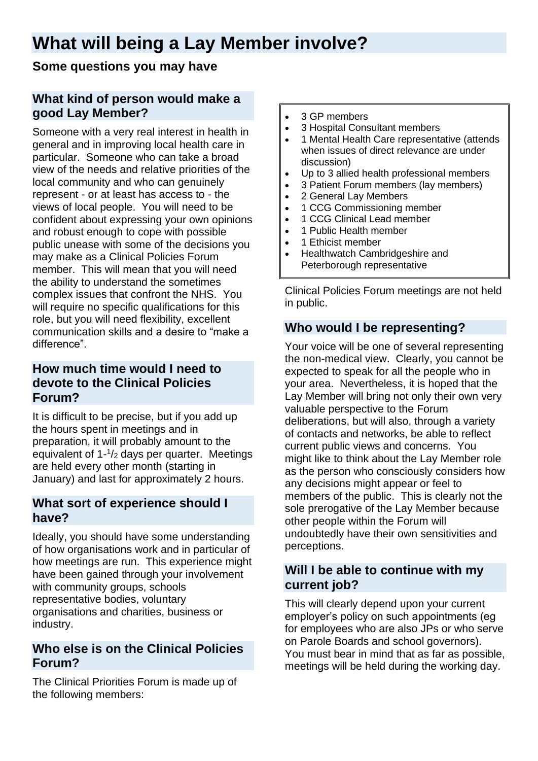# **What will being a Lay Member involve?**

# **Some questions you may have**

# **What kind of person would make a good Lay Member?**

Someone with a very real interest in health in general and in improving local health care in particular. Someone who can take a broad view of the needs and relative priorities of the local community and who can genuinely represent - or at least has access to - the views of local people. You will need to be confident about expressing your own opinions and robust enough to cope with possible public unease with some of the decisions you may make as a Clinical Policies Forum member. This will mean that you will need the ability to understand the sometimes complex issues that confront the NHS. You will require no specific qualifications for this role, but you will need flexibility, excellent communication skills and a desire to "make a difference".

### **How much time would I need to devote to the Clinical Policies Forum?**

It is difficult to be precise, but if you add up the hours spent in meetings and in preparation, it will probably amount to the equivalent of 1- 1 /<sup>2</sup> days per quarter. Meetings are held every other month (starting in January) and last for approximately 2 hours.

# **What sort of experience should I have?**

Ideally, you should have some understanding of how organisations work and in particular of how meetings are run. This experience might have been gained through your involvement with community groups, schools representative bodies, voluntary organisations and charities, business or industry.

#### **Who else is on the Clinical Policies Forum?**

The Clinical Priorities Forum is made up of the following members:

- 3 GP members
- 3 Hospital Consultant members
- 1 Mental Health Care representative (attends when issues of direct relevance are under discussion)
- Up to 3 allied health professional members
- 3 Patient Forum members (lay members)
- 2 General Lay Members
- 1 CCG Commissioning member
- 1 CCG Clinical Lead member
- 1 Public Health member
- 1 Ethicist member
- Healthwatch Cambridgeshire and Peterborough representative

Clinical Policies Forum meetings are not held in public.

#### **Who would I be representing?**

Your voice will be one of several representing the non-medical view. Clearly, you cannot be expected to speak for all the people who in your area. Nevertheless, it is hoped that the Lay Member will bring not only their own very valuable perspective to the Forum deliberations, but will also, through a variety of contacts and networks, be able to reflect current public views and concerns. You might like to think about the Lay Member role as the person who consciously considers how any decisions might appear or feel to members of the public. This is clearly not the sole prerogative of the Lay Member because other people within the Forum will undoubtedly have their own sensitivities and perceptions.

# **Will I be able to continue with my current job?**

This will clearly depend upon your current employer's policy on such appointments (eg for employees who are also JPs or who serve on Parole Boards and school governors). You must bear in mind that as far as possible, meetings will be held during the working day.